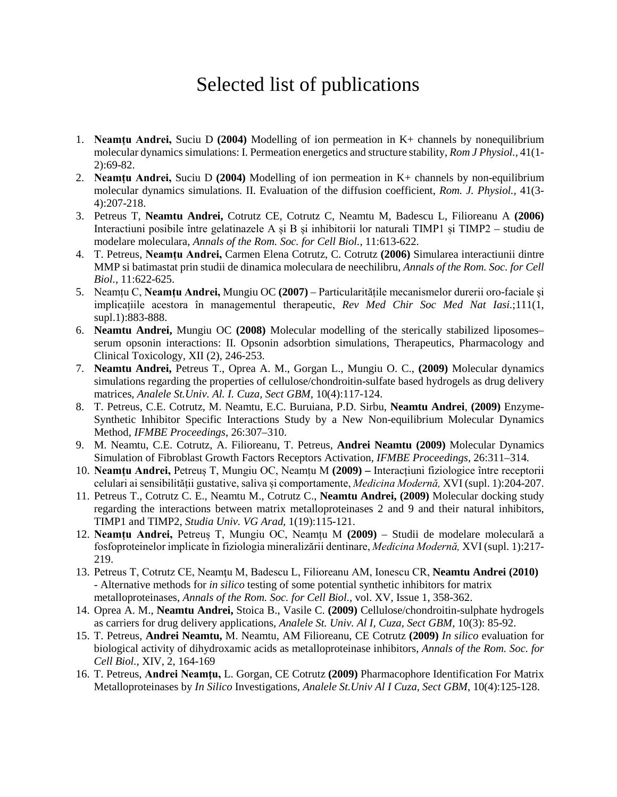## Selected list of publications

- 1. **Neamțu Andrei,** Suciu D **(2004)** Modelling of ion permeation in K+ channels by nonequilibrium molecular dynamics simulations: I. Permeation energetics and structure stability, *Rom J Physiol.,* 41(1- 2):69-82.
- 2. **Neamțu Andrei,** Suciu D **(2004)** Modelling of ion permeation in K+ channels by non-equilibrium molecular dynamics simulations. II. Evaluation of the diffusion coefficient, *Rom. J. Physiol.,* 41(3- 4):207-218.
- 3. Petreus T, **Neamtu Andrei,** Cotrutz CE, Cotrutz C, Neamtu M, Badescu L, Filioreanu A **(2006)** Interactiuni posibile între gelatinazele A și B și inhibitorii lor naturali TIMP1 și TIMP2 – studiu de modelare moleculara, *Annals of the Rom. Soc. for Cell Biol.,* 11:613-622.
- 4. T. Petreus, **Neamțu Andrei,** Carmen Elena Cotrutz, C. Cotrutz **(2006)** Simularea interactiunii dintre MMP si batimastat prin studii de dinamica moleculara de neechilibru, *Annals of the Rom. Soc. for Cell Biol.,* 11:622-625.
- 5. Neamțu C, **Neamțu Andrei,** Mungiu OC **(2007)** Particularitățile mecanismelor durerii oro-faciale și implicațiile acestora în managementul therapeutic, *Rev Med Chir Soc Med Nat Iasi.*;111(1, supl.1):883-888.
- 6. **Neamtu Andrei,** Mungiu OC **(2008)** Molecular modelling of the sterically stabilized liposomes– serum opsonin interactions: II. Opsonin adsorbtion simulations, Therapeutics, Pharmacology and Clinical Toxicology, XII (2), 246-253.
- 7. **Neamtu Andrei,** Petreus T., Oprea A. M., Gorgan L., Mungiu O. C., **(2009)** Molecular dynamics simulations regarding the properties of cellulose/chondroitin-sulfate based hydrogels as drug delivery matrices, *Analele St.Univ. Al. I. Cuza, Sect GBM,* 10(4):117-124.
- 8. T. Petreus, C.E. Cotrutz, M. Neamtu, E.C. Buruiana, P.D. Sirbu, **Neamtu Andrei**, **(2009)** Enzyme-Synthetic Inhibitor Specific Interactions Study by a New Non-equilibrium Molecular Dynamics Method, *IFMBE Proceedings,* 26:307–310.
- 9. M. Neamtu, C.E. Cotrutz, A. Filioreanu, T. Petreus, **Andrei Neamtu (2009)** Molecular Dynamics Simulation of Fibroblast Growth Factors Receptors Activation, *IFMBE Proceedings,* 26:311–314.
- 10. **Neamțu Andrei,** Petreuș T, Mungiu OC, Neamțu M **(2009) –** Interacțiuni fiziologice între receptorii celulari ai sensibilității gustative, saliva și comportamente, *Medicina Modernă,* XVI (supl. 1):204-207.
- 11. Petreus T., Cotrutz C. E., Neamtu M., Cotrutz C., **Neamtu Andrei, (2009)** Molecular docking study regarding the interactions between matrix metalloproteinases 2 and 9 and their natural inhibitors, TIMP1 and TIMP2, *Studia Univ. VG Arad,* 1(19):115-121.
- 12. **Neamțu Andrei,** Petreuș T, Mungiu OC, Neamțu M **(2009)** Studii de modelare moleculară a fosfoproteinelor implicate în fiziologia mineralizării dentinare, *Medicina Modernă,* XVI (supl. 1):217- 219.
- 13. Petreus T, Cotrutz CE, Neamţu M, Badescu L, Filioreanu AM, Ionescu CR, **Neamtu Andrei (2010)** - Alternative methods for *in silico* testing of some potential synthetic inhibitors for matrix metalloproteinases, *Annals of the Rom. Soc. for Cell Biol.,* vol. XV, Issue 1, 358-362.
- 14. Oprea A. M., **Neamtu Andrei,** Stoica B., Vasile C. **(2009)** Cellulose/chondroitin-sulphate hydrogels as carriers for drug delivery applications, *Analele St. Univ. Al I, Cuza, Sect GBM,* 10(3): 85-92.
- 15. T. Petreus, **Andrei Neamtu,** M. Neamtu, AM Filioreanu, CE Cotrutz **(2009)** *In silico* evaluation for biological activity of dihydroxamic acids as metalloproteinase inhibitors, *Annals of the Rom. Soc. for Cell Biol.,* XIV, 2, 164-169
- 16. T. Petreus, **Andrei Neamţu,** L. Gorgan, CE Cotrutz **(2009)** Pharmacophore Identification For Matrix Metalloproteinases by *In Silico* Investigations, *Analele St.Univ Al I Cuza, Sect GBM,* 10(4):125-128.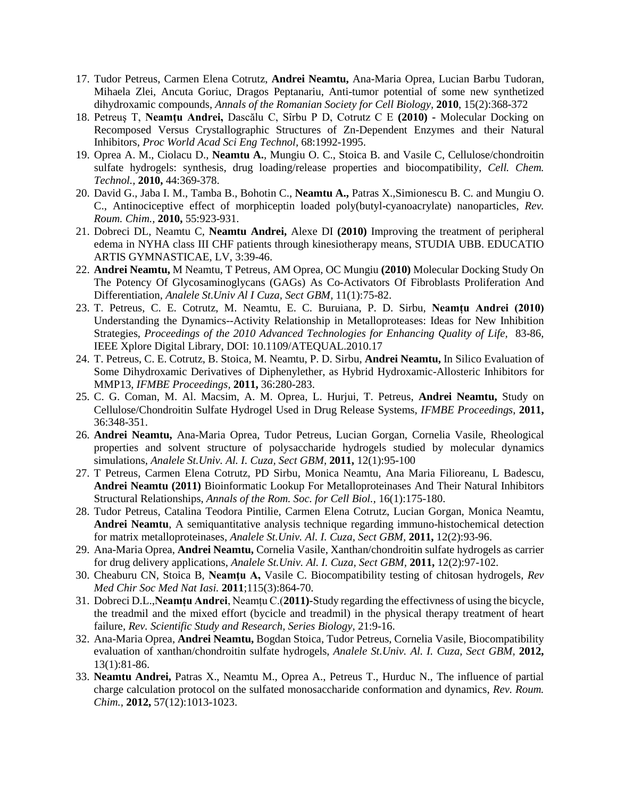- 17. Tudor Petreus, Carmen Elena Cotrutz, **Andrei Neamtu,** Ana-Maria Oprea, Lucian Barbu Tudoran, Mihaela Zlei, Ancuta Goriuc, Dragos Peptanariu, Anti-tumor potential of some new synthetized dihydroxamic compounds, *Annals of the Romanian Society for Cell Biology,* **2010**, 15(2):368-372
- 18. Petreuş T, **Neamţu Andrei,** Dascălu C, Sîrbu P D, Cotrutz C E **(2010) -** Molecular Docking on Recomposed Versus Crystallographic Structures of Zn-Dependent Enzymes and their Natural Inhibitors, *Proc World Acad Sci Eng Technol,* 68:1992-1995.
- 19. Oprea A. M., Ciolacu D., **Neamtu A.**, Mungiu O. C., Stoica B. and Vasile C, Cellulose/chondroitin sulfate hydrogels: synthesis, drug loading/release properties and biocompatibility, *Cell. Chem. Technol.,* **2010,** 44:369-378.
- 20. David G., Jaba I. M., Tamba B., Bohotin C., **Neamtu A.,** Patras X.,Simionescu B. C. and Mungiu O. C., Antinociceptive effect of morphiceptin loaded poly(butyl-cyanoacrylate) nanoparticles, *Rev. Roum. Chim.,* **2010,** 55:923-931.
- 21. Dobreci DL, Neamtu C, **Neamtu Andrei,** Alexe DI **(2010)** Improving the treatment of peripheral edema in NYHA class III CHF patients through kinesiotherapy means, STUDIA UBB. EDUCATIO ARTIS GYMNASTICAE, LV, 3:39-46.
- 22. **Andrei Neamtu,** M Neamtu, T Petreus, AM Oprea, OC Mungiu **(2010)** Molecular Docking Study On The Potency Of Glycosaminoglycans (GAGs) As Co-Activators Of Fibroblasts Proliferation And Differentiation, *Analele St.Univ Al I Cuza, Sect GBM,* 11(1):75-82.
- 23. T. Petreus, C. E. Cotrutz, M. Neamtu, E. C. Buruiana, P. D. Sirbu, **Neamțu Andrei (2010)** Understanding the Dynamics--Activity Relationship in Metalloproteases: Ideas for New Inhibition Strategies, *Proceedings of the 2010 Advanced Technologies for Enhancing Quality of Life,* 83-86, IEEE Xplore Digital Library, DOI: 10.1109/ATEQUAL.2010.17
- 24. T. Petreus, C. E. Cotrutz, B. Stoica, M. Neamtu, P. D. Sirbu, **Andrei Neamtu,** In Silico Evaluation of Some Dihydroxamic Derivatives of Diphenylether, as Hybrid Hydroxamic-Allosteric Inhibitors for MMP13, *IFMBE Proceedings,* **2011,** 36:280-283.
- 25. C. G. Coman, M. Al. Macsim, A. M. Oprea, L. Hurjui, T. Petreus, **Andrei Neamtu,** Study on Cellulose/Chondroitin Sulfate Hydrogel Used in Drug Release Systems, *IFMBE Proceedings*, **2011,** 36:348-351.
- 26. **Andrei Neamtu,** Ana-Maria Oprea, Tudor Petreus, Lucian Gorgan, Cornelia Vasile, Rheological properties and solvent structure of polysaccharide hydrogels studied by molecular dynamics simulations, *Analele St.Univ. Al. I. Cuza, Sect GBM,* **2011,** 12(1):95-100
- 27. T Petreus, Carmen Elena Cotrutz, PD Sirbu, Monica Neamtu, Ana Maria Filioreanu, L Badescu, **Andrei Neamtu (2011)** Bioinformatic Lookup For Metalloproteinases And Their Natural Inhibitors Structural Relationships, *Annals of the Rom. Soc. for Cell Biol.,* 16(1):175-180.
- 28. Tudor Petreus, Catalina Teodora Pintilie, Carmen Elena Cotrutz, Lucian Gorgan, Monica Neamtu, **Andrei Neamtu**, A semiquantitative analysis technique regarding immuno-histochemical detection for matrix metalloproteinases, *Analele St.Univ. Al. I. Cuza, Sect GBM,* **2011,** 12(2):93-96.
- 29. Ana-Maria Oprea, **Andrei Neamtu,** Cornelia Vasile, Xanthan/chondroitin sulfate hydrogels as carrier for drug delivery applications, *Analele St.Univ. Al. I. Cuza, Sect GBM,* **2011,** 12(2):97-102.
- 30. Cheaburu CN, Stoica B, **Neamţu A,** Vasile C. Biocompatibility testing of chitosan hydrogels, *Rev Med Chir Soc Med Nat Iasi.* **2011**;115(3):864-70.
- 31. Dobreci D.L.,**Neamțu Andrei**, Neamțu C.(**2011)-**Study regarding the effectivness of using the bicycle, the treadmil and the mixed effort (bycicle and treadmil) in the physical therapy treatment of heart failure, *Rev. Scientific Study and Research, Series Biology*, 21:9-16.
- 32. Ana-Maria Oprea, **Andrei Neamtu,** Bogdan Stoica, Tudor Petreus, Cornelia Vasile, Biocompatibility evaluation of xanthan/chondroitin sulfate hydrogels, *Analele St.Univ. Al. I. Cuza, Sect GBM,* **2012,** 13(1):81-86.
- 33. **Neamtu Andrei,** Patras X., Neamtu M., Oprea A., Petreus T., Hurduc N., The influence of partial charge calculation protocol on the sulfated monosaccharide conformation and dynamics, *Rev. Roum. Chim.,* **2012,** 57(12):1013-1023.